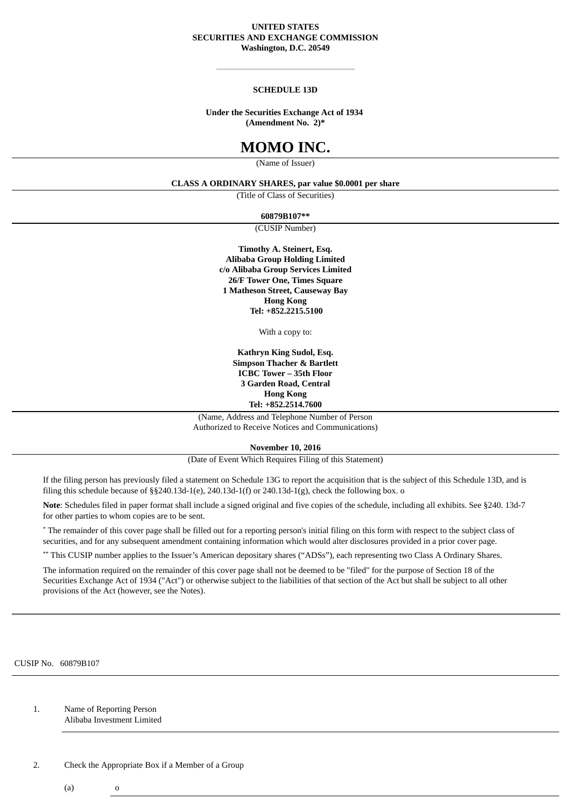### **UNITED STATES SECURITIES AND EXCHANGE COMMISSION Washington, D.C. 20549**

### **SCHEDULE 13D**

### **Under the Securities Exchange Act of 1934 (Amendment No. 2)\***

# **MOMO INC.**

(Name of Issuer)

### **CLASS A ORDINARY SHARES, par value \$0.0001 per share**

(Title of Class of Securities)

**60879B107\*\***

(CUSIP Number)

**Timothy A. Steinert, Esq. Alibaba Group Holding Limited c/o Alibaba Group Services Limited 26/F Tower One, Times Square 1 Matheson Street, Causeway Bay Hong Kong Tel: +852.2215.5100**

With a copy to:

**Kathryn King Sudol, Esq. Simpson Thacher & Bartlett ICBC Tower – 35th Floor 3 Garden Road, Central Hong Kong Tel: +852.2514.7600**

(Name, Address and Telephone Number of Person Authorized to Receive Notices and Communications)

**November 10, 2016**

(Date of Event Which Requires Filing of this Statement)

If the filing person has previously filed a statement on Schedule 13G to report the acquisition that is the subject of this Schedule 13D, and is filing this schedule because of  $\S$ §240.13d-1(e), 240.13d-1(f) or 240.13d-1(g), check the following box. o

**Note**: Schedules filed in paper format shall include a signed original and five copies of the schedule, including all exhibits. See §240. 13d-7 for other parties to whom copies are to be sent.

\* The remainder of this cover page shall be filled out for a reporting person's initial filing on this form with respect to the subject class of securities, and for any subsequent amendment containing information which would alter disclosures provided in a prior cover page.

\*\* This CUSIP number applies to the Issuer's American depositary shares ("ADSs"), each representing two Class A Ordinary Shares.

The information required on the remainder of this cover page shall not be deemed to be "filed" for the purpose of Section 18 of the Securities Exchange Act of 1934 ("Act") or otherwise subject to the liabilities of that section of the Act but shall be subject to all other provisions of the Act (however, see the Notes).

CUSIP No. 60879B107

1. Name of Reporting Person Alibaba Investment Limited

2. Check the Appropriate Box if a Member of a Group

 $(a)$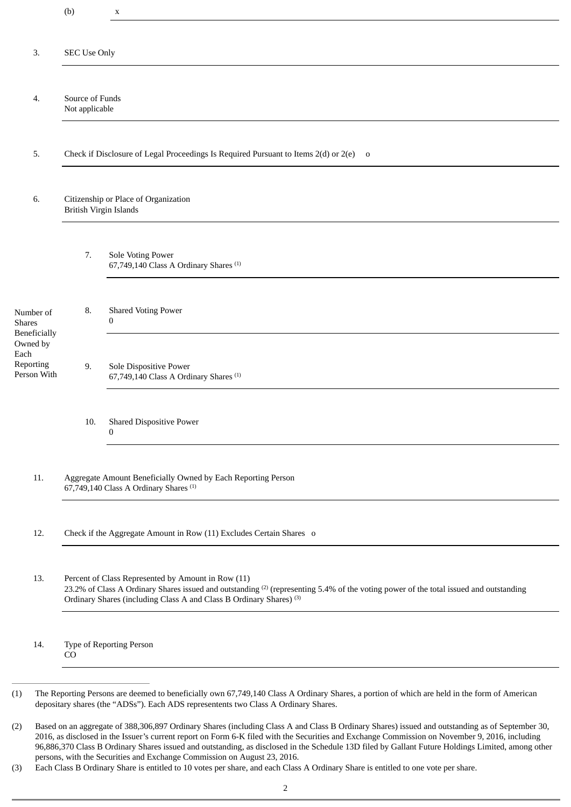|                                                                                            | (b)                                                                                                                                                                                                                                                                                       | X                                                                           |  |
|--------------------------------------------------------------------------------------------|-------------------------------------------------------------------------------------------------------------------------------------------------------------------------------------------------------------------------------------------------------------------------------------------|-----------------------------------------------------------------------------|--|
| 3.                                                                                         | <b>SEC Use Only</b>                                                                                                                                                                                                                                                                       |                                                                             |  |
|                                                                                            |                                                                                                                                                                                                                                                                                           |                                                                             |  |
| 4.                                                                                         | Source of Funds<br>Not applicable                                                                                                                                                                                                                                                         |                                                                             |  |
| 5.                                                                                         | Check if Disclosure of Legal Proceedings Is Required Pursuant to Items 2(d) or 2(e) o                                                                                                                                                                                                     |                                                                             |  |
| 6.                                                                                         | Citizenship or Place of Organization<br><b>British Virgin Islands</b>                                                                                                                                                                                                                     |                                                                             |  |
|                                                                                            | 7.                                                                                                                                                                                                                                                                                        | Sole Voting Power<br>67,749,140 Class A Ordinary Shares <sup>(1)</sup>      |  |
| Number of<br><b>Shares</b><br>Beneficially<br>Owned by<br>Each<br>Reporting<br>Person With | 8.                                                                                                                                                                                                                                                                                        | <b>Shared Voting Power</b><br>0                                             |  |
|                                                                                            | 9.                                                                                                                                                                                                                                                                                        | Sole Dispositive Power<br>67,749,140 Class A Ordinary Shares <sup>(1)</sup> |  |
|                                                                                            | 10.                                                                                                                                                                                                                                                                                       | <b>Shared Dispositive Power</b><br>$\mathbf{0}$                             |  |
| 11.                                                                                        | Aggregate Amount Beneficially Owned by Each Reporting Person<br>67,749,140 Class A Ordinary Shares <sup>(1)</sup>                                                                                                                                                                         |                                                                             |  |
| 12.                                                                                        | Check if the Aggregate Amount in Row (11) Excludes Certain Shares o                                                                                                                                                                                                                       |                                                                             |  |
| 13.                                                                                        | Percent of Class Represented by Amount in Row (11)<br>23.2% of Class A Ordinary Shares issued and outstanding <sup>(2)</sup> (representing 5.4% of the voting power of the total issued and outstanding<br>Ordinary Shares (including Class A and Class B Ordinary Shares) <sup>(3)</sup> |                                                                             |  |
| 14.                                                                                        | Type of Reporting Person<br>CO                                                                                                                                                                                                                                                            |                                                                             |  |

<sup>(2)</sup> Based on an aggregate of 388,306,897 Ordinary Shares (including Class A and Class B Ordinary Shares) issued and outstanding as of September 30, 2016, as disclosed in the Issuer's current report on Form 6-K filed with the Securities and Exchange Commission on November 9, 2016, including 96,886,370 Class B Ordinary Shares issued and outstanding, as disclosed in the Schedule 13D filed by Gallant Future Holdings Limited, among other persons, with the Securities and Exchange Commission on August 23, 2016.

<sup>(3)</sup> Each Class B Ordinary Share is entitled to 10 votes per share, and each Class A Ordinary Share is entitled to one vote per share.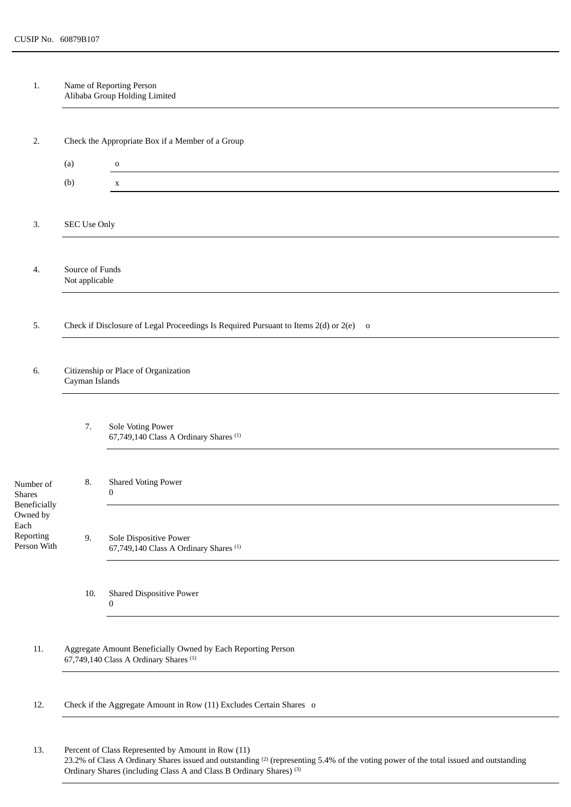1. Name of Reporting Person Alibaba Group Holding Limited

| 2.                                                                                          | Check the Appropriate Box if a Member of a Group                                                                  |                                                                             |  |  |  |
|---------------------------------------------------------------------------------------------|-------------------------------------------------------------------------------------------------------------------|-----------------------------------------------------------------------------|--|--|--|
|                                                                                             | (a)                                                                                                               | $\mathbf O$                                                                 |  |  |  |
|                                                                                             | (b)                                                                                                               | $\mathbf x$                                                                 |  |  |  |
|                                                                                             |                                                                                                                   |                                                                             |  |  |  |
| 3.                                                                                          | SEC Use Only                                                                                                      |                                                                             |  |  |  |
|                                                                                             |                                                                                                                   |                                                                             |  |  |  |
| 4.                                                                                          |                                                                                                                   | Source of Funds<br>Not applicable                                           |  |  |  |
|                                                                                             |                                                                                                                   |                                                                             |  |  |  |
| Check if Disclosure of Legal Proceedings Is Required Pursuant to Items 2(d) or 2(e) o<br>5. |                                                                                                                   |                                                                             |  |  |  |
|                                                                                             |                                                                                                                   |                                                                             |  |  |  |
| 6.                                                                                          | Citizenship or Place of Organization<br>Cayman Islands                                                            |                                                                             |  |  |  |
|                                                                                             |                                                                                                                   |                                                                             |  |  |  |
|                                                                                             | 7.                                                                                                                | Sole Voting Power<br>67,749,140 Class A Ordinary Shares <sup>(1)</sup>      |  |  |  |
| Number of<br><b>Shares</b><br>Beneficially<br>Owned by<br>Each<br>Reporting<br>Person With  | 8.                                                                                                                | <b>Shared Voting Power</b><br>$\boldsymbol{0}$                              |  |  |  |
|                                                                                             | 9.                                                                                                                | Sole Dispositive Power<br>67,749,140 Class A Ordinary Shares <sup>(1)</sup> |  |  |  |
|                                                                                             | 10.                                                                                                               | <b>Shared Dispositive Power</b><br>0                                        |  |  |  |
| 11.                                                                                         | Aggregate Amount Beneficially Owned by Each Reporting Person<br>67,749,140 Class A Ordinary Shares <sup>(1)</sup> |                                                                             |  |  |  |
| 12.                                                                                         | Check if the Aggregate Amount in Row (11) Excludes Certain Shares o                                               |                                                                             |  |  |  |
| 13.                                                                                         |                                                                                                                   | Percent of Class Represented by Amount in Row (11)                          |  |  |  |

23.2% of Class A Ordinary Shares issued and outstanding  $(2)$  (representing 5.4% of the voting power of the total issued and outstanding Ordinary Shares (including Class A and Class B Ordinary Shares) (3)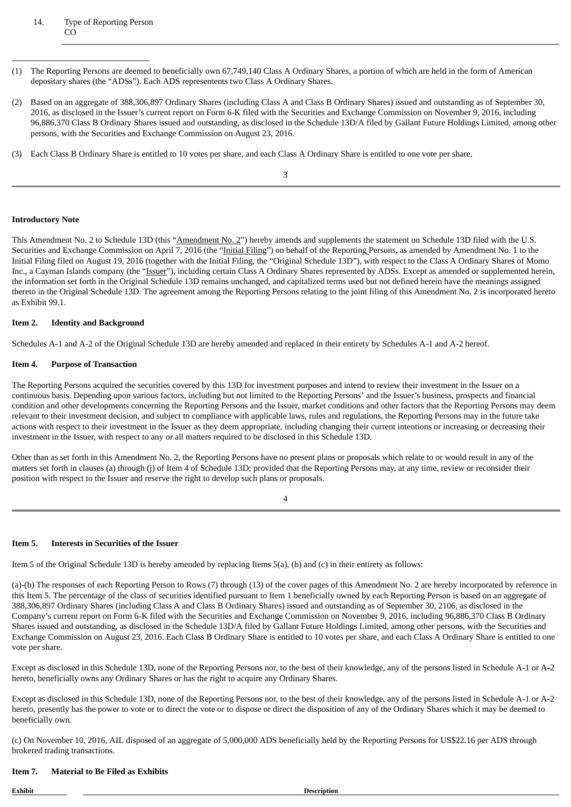### 14. Type of Reporting Person CO

- (1) The Reporting Persons are deemed to beneficially own 67,749,140 Class A Ordinary Shares, a portion of which are held in the form of American depositary shares (the "ADSs"). Each ADS representents two Class A Ordinary Shares.
- (2) Based on an aggregate of 388,306,897 Ordinary Shares (including Class A and Class B Ordinary Shares) issued and outstanding as of September 30, 2016, as disclosed in the Issuer's current report on Form 6-K filed with the Securities and Exchange Commission on November 9, 2016, including 96,886,370 Class B Ordinary Shares issued and outstanding, as disclosed in the Schedule 13D/A filed by Gallant Future Holdings Limited, among other persons, with the Securities and Exchange Commission on August 23, 2016.
- (3) Each Class B Ordinary Share is entitled to 10 votes per share, and each Class A Ordinary Share is entitled to one vote per share.

3

### **Introductory Note**

This Amendment No. 2 to Schedule 13D (this "Amendment No. 2") hereby amends and supplements the statement on Schedule 13D filed with the U.S. Securities and Exchange Commission on April 7, 2016 (the "Initial Filing") on behalf of the Reporting Persons, as amended by Amendment No. 1 to the Initial Filing filed on August 19, 2016 (together with the Initial Filing, the "Original Schedule 13D"), with respect to the Class A Ordinary Shares of Momo Inc., a Cayman Islands company (the "Issuer"), including certain Class A Ordinary Shares represented by ADSs. Except as amended or supplemented herein, the information set forth in the Original Schedule 13D remains unchanged, and capitalized terms used but not defined herein have the meanings assigned thereto in the Original Schedule 13D. The agreement among the Reporting Persons relating to the joint filing of this Amendment No. 2 is incorporated hereto as Exhibit 99.1.

### **Item 2. Identity and Background**

Schedules A-1 and A-2 of the Original Schedule 13D are hereby amended and replaced in their entirety by Schedules A-1 and A-2 hereof.

### **Item 4. Purpose of Transaction**

The Reporting Persons acquired the securities covered by this 13D for investment purposes and intend to review their investment in the Issuer on a continuous basis. Depending upon various factors, including but not limited to the Reporting Persons' and the Issuer's business, prospects and financial condition and other developments concerning the Reporting Persons and the Issuer, market conditions and other factors that the Reporting Persons may deem relevant to their investment decision, and subject to compliance with applicable laws, rules and regulations, the Reporting Persons may in the future take actions with respect to their investment in the Issuer as they deem appropriate, including changing their current intentions or increasing or decreasing their investment in the Issuer, with respect to any or all matters required to be disclosed in this Schedule 13D.

Other than as set forth in this Amendment No. 2, the Reporting Persons have no present plans or proposals which relate to or would result in any of the matters set forth in clauses (a) through (j) of Item 4 of Schedule 13D; provided that the Reporting Persons may, at any time, review or reconsider their position with respect to the Issuer and reserve the right to develop such plans or proposals.

4

# **Item 5. Interests in Securities of the Issuer**

Item 5 of the Original Schedule 13D is hereby amended by replacing Items 5(a), (b) and (c) in their entirety as follows:

(a)-(b) The responses of each Reporting Person to Rows (7) through (13) of the cover pages of this Amendment No. 2 are hereby incorporated by reference in this Item 5. The percentage of the class of securities identified pursuant to Item 1 beneficially owned by each Reporting Person is based on an aggregate of 388,306,897 Ordinary Shares (including Class A and Class B Ordinary Shares) issued and outstanding as of September 30, 2106, as disclosed in the Company's current report on Form 6-K filed with the Securities and Exchange Commission on November 9, 2016, including 96,886,370 Class B Ordinary Shares issued and outstanding, as disclosed in the Schedule 13D/A filed by Gallant Future Holdings Limited, among other persons, with the Securities and Exchange Commission on August 23, 2016. Each Class B Ordinary Share is entitled to 10 votes per share, and each Class A Ordinary Share is entitled to one vote per share.

Except as disclosed in this Schedule 13D, none of the Reporting Persons nor, to the best of their knowledge, any of the persons listed in Schedule A-1 or A-2 hereto, beneficially owns any Ordinary Shares or has the right to acquire any Ordinary Shares.

Except as disclosed in this Schedule 13D, none of the Reporting Persons nor, to the best of their knowledge, any of the persons listed in Schedule A-1 or A-2 hereto, presently has the power to vote or to direct the vote or to dispose or direct the disposition of any of the Ordinary Shares which it may be deemed to beneficially own.

(c) On November 10, 2016, AIL disposed of an aggregate of 5,000,000 ADS beneficially held by the Reporting Persons for US\$22.16 per ADS through brokered trading transactions.

# **Item 7. Material to Be Filed as Exhibits**

**Exhibit Description Description**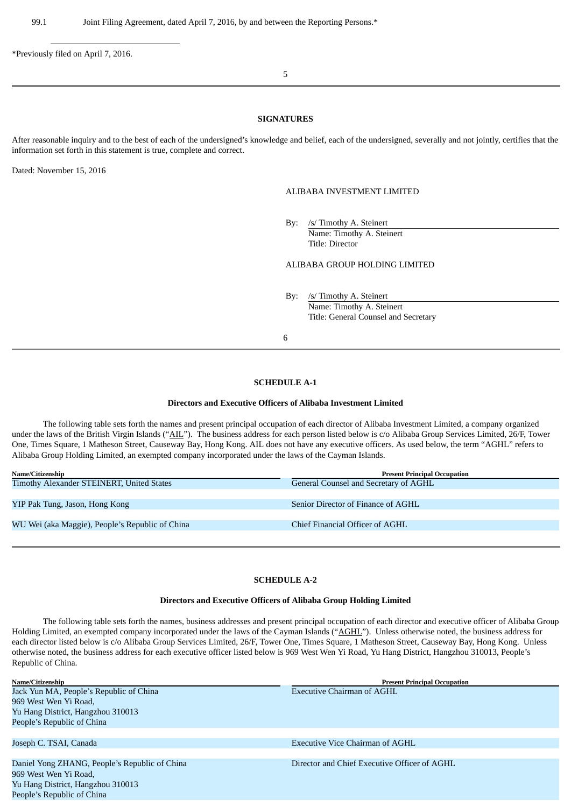\*Previously filed on April 7, 2016.

5

### **SIGNATURES**

After reasonable inquiry and to the best of each of the undersigned's knowledge and belief, each of the undersigned, severally and not jointly, certifies that the information set forth in this statement is true, complete and correct.

Dated: November 15, 2016

People's Republic of China

#### ALIBABA INVESTMENT LIMITED

By: /s/ Timothy A. Steinert Name: Timothy A. Steinert Title: Director

ALIBABA GROUP HOLDING LIMITED

By: /s/ Timothy A. Steinert Name: Timothy A. Steinert Title: General Counsel and Secretary

6

## **SCHEDULE A-1**

#### **Directors and Executive Officers of Alibaba Investment Limited**

The following table sets forth the names and present principal occupation of each director of Alibaba Investment Limited, a company organized under the laws of the British Virgin Islands ("AIL"). The business address for each person listed below is c/o Alibaba Group Services Limited, 26/F, Tower One, Times Square, 1 Matheson Street, Causeway Bay, Hong Kong. AIL does not have any executive officers. As used below, the term "AGHL" refers to Alibaba Group Holding Limited, an exempted company incorporated under the laws of the Cayman Islands.

| Name/Citizenship                                | <b>Present Principal Occupation</b>   |
|-------------------------------------------------|---------------------------------------|
| Timothy Alexander STEINERT, United States       | General Counsel and Secretary of AGHL |
|                                                 |                                       |
| YIP Pak Tung, Jason, Hong Kong                  | Senior Director of Finance of AGHL    |
|                                                 |                                       |
| WU Wei (aka Maggie), People's Republic of China | Chief Financial Officer of AGHL       |
|                                                 |                                       |

### **SCHEDULE A-2**

### **Directors and Executive Officers of Alibaba Group Holding Limited**

The following table sets forth the names, business addresses and present principal occupation of each director and executive officer of Alibaba Group Holding Limited, an exempted company incorporated under the laws of the Cayman Islands ("AGHL"). Unless otherwise noted, the business address for each director listed below is c/o Alibaba Group Services Limited, 26/F, Tower One, Times Square, 1 Matheson Street, Causeway Bay, Hong Kong. Unless otherwise noted, the business address for each executive officer listed below is 969 West Wen Yi Road, Yu Hang District, Hangzhou 310013, People's Republic of China.

| Name/Citizenship                              | <b>Present Principal Occupation</b>          |
|-----------------------------------------------|----------------------------------------------|
| Jack Yun MA, People's Republic of China       | Executive Chairman of AGHL                   |
| 969 West Wen Yi Road,                         |                                              |
| Yu Hang District, Hangzhou 310013             |                                              |
| People's Republic of China                    |                                              |
|                                               |                                              |
| Joseph C. TSAI, Canada                        | <b>Executive Vice Chairman of AGHL</b>       |
|                                               |                                              |
| Daniel Yong ZHANG, People's Republic of China | Director and Chief Executive Officer of AGHL |
| 969 West Wen Yi Road,                         |                                              |
| Yu Hang District, Hangzhou 310013             |                                              |